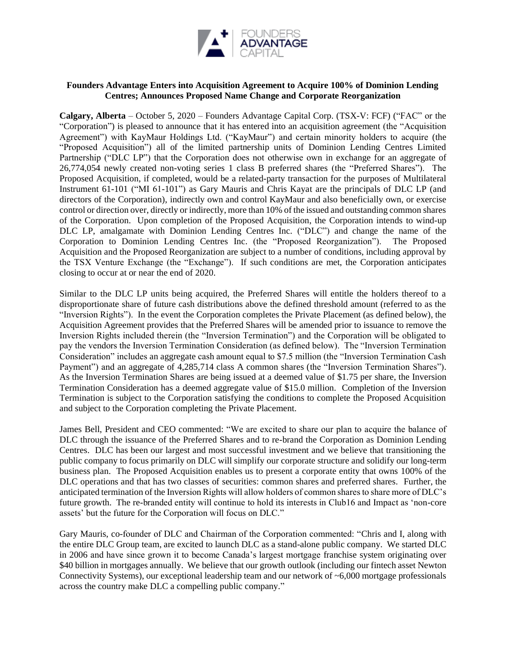

## **Founders Advantage Enters into Acquisition Agreement to Acquire 100% of Dominion Lending Centres; Announces Proposed Name Change and Corporate Reorganization**

**Calgary, Alberta** – October 5, 2020 – Founders Advantage Capital Corp. (TSX-V: FCF) ("FAC" or the "Corporation") is pleased to announce that it has entered into an acquisition agreement (the "Acquisition Agreement") with KayMaur Holdings Ltd. ("KayMaur") and certain minority holders to acquire (the "Proposed Acquisition") all of the limited partnership units of Dominion Lending Centres Limited Partnership ("DLC LP") that the Corporation does not otherwise own in exchange for an aggregate of 26,774,054 newly created non-voting series 1 class B preferred shares (the "Preferred Shares"). The Proposed Acquisition, if completed, would be a related-party transaction for the purposes of Multilateral Instrument 61-101 ("MI 61-101") as Gary Mauris and Chris Kayat are the principals of DLC LP (and directors of the Corporation), indirectly own and control KayMaur and also beneficially own, or exercise control or direction over, directly or indirectly, more than 10% of the issued and outstanding common shares of the Corporation. Upon completion of the Proposed Acquisition, the Corporation intends to wind-up DLC LP, amalgamate with Dominion Lending Centres Inc. ("DLC") and change the name of the Corporation to Dominion Lending Centres Inc. (the "Proposed Reorganization"). The Proposed Acquisition and the Proposed Reorganization are subject to a number of conditions, including approval by the TSX Venture Exchange (the "Exchange"). If such conditions are met, the Corporation anticipates closing to occur at or near the end of 2020.

Similar to the DLC LP units being acquired, the Preferred Shares will entitle the holders thereof to a disproportionate share of future cash distributions above the defined threshold amount (referred to as the "Inversion Rights"). In the event the Corporation completes the Private Placement (as defined below), the Acquisition Agreement provides that the Preferred Shares will be amended prior to issuance to remove the Inversion Rights included therein (the "Inversion Termination") and the Corporation will be obligated to pay the vendors the Inversion Termination Consideration (as defined below). The "Inversion Termination Consideration" includes an aggregate cash amount equal to \$7.5 million (the "Inversion Termination Cash Payment") and an aggregate of 4,285,714 class A common shares (the "Inversion Termination Shares"). As the Inversion Termination Shares are being issued at a deemed value of \$1.75 per share, the Inversion Termination Consideration has a deemed aggregate value of \$15.0 million. Completion of the Inversion Termination is subject to the Corporation satisfying the conditions to complete the Proposed Acquisition and subject to the Corporation completing the Private Placement.

James Bell, President and CEO commented: "We are excited to share our plan to acquire the balance of DLC through the issuance of the Preferred Shares and to re-brand the Corporation as Dominion Lending Centres. DLC has been our largest and most successful investment and we believe that transitioning the public company to focus primarily on DLC will simplify our corporate structure and solidify our long-term business plan. The Proposed Acquisition enables us to present a corporate entity that owns 100% of the DLC operations and that has two classes of securities: common shares and preferred shares. Further, the anticipated termination of the Inversion Rights will allow holders of common shares to share more of DLC's future growth. The re-branded entity will continue to hold its interests in Club16 and Impact as 'non-core assets' but the future for the Corporation will focus on DLC."

Gary Mauris, co-founder of DLC and Chairman of the Corporation commented: "Chris and I, along with the entire DLC Group team, are excited to launch DLC as a stand-alone public company. We started DLC in 2006 and have since grown it to become Canada's largest mortgage franchise system originating over \$40 billion in mortgages annually. We believe that our growth outlook (including our fintech asset Newton Connectivity Systems), our exceptional leadership team and our network of ~6,000 mortgage professionals across the country make DLC a compelling public company."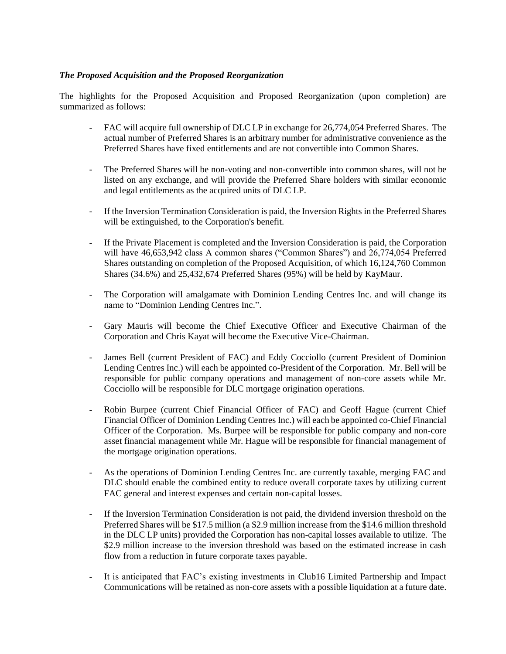## *The Proposed Acquisition and the Proposed Reorganization*

The highlights for the Proposed Acquisition and Proposed Reorganization (upon completion) are summarized as follows:

- FAC will acquire full ownership of DLC LP in exchange for 26,774,054 Preferred Shares. The actual number of Preferred Shares is an arbitrary number for administrative convenience as the Preferred Shares have fixed entitlements and are not convertible into Common Shares.
- The Preferred Shares will be non-voting and non-convertible into common shares, will not be listed on any exchange, and will provide the Preferred Share holders with similar economic and legal entitlements as the acquired units of DLC LP.
- If the Inversion Termination Consideration is paid, the Inversion Rights in the Preferred Shares will be extinguished, to the Corporation's benefit.
- If the Private Placement is completed and the Inversion Consideration is paid, the Corporation will have 46,653,942 class A common shares ("Common Shares") and 26,774,054 Preferred Shares outstanding on completion of the Proposed Acquisition, of which 16,124,760 Common Shares (34.6%) and 25,432,674 Preferred Shares (95%) will be held by KayMaur.
- The Corporation will amalgamate with Dominion Lending Centres Inc. and will change its name to "Dominion Lending Centres Inc.".
- Gary Mauris will become the Chief Executive Officer and Executive Chairman of the Corporation and Chris Kayat will become the Executive Vice-Chairman.
- James Bell (current President of FAC) and Eddy Cocciollo (current President of Dominion Lending Centres Inc.) will each be appointed co-President of the Corporation. Mr. Bell will be responsible for public company operations and management of non-core assets while Mr. Cocciollo will be responsible for DLC mortgage origination operations.
- Robin Burpee (current Chief Financial Officer of FAC) and Geoff Hague (current Chief Financial Officer of Dominion Lending Centres Inc.) will each be appointed co-Chief Financial Officer of the Corporation. Ms. Burpee will be responsible for public company and non-core asset financial management while Mr. Hague will be responsible for financial management of the mortgage origination operations.
- As the operations of Dominion Lending Centres Inc. are currently taxable, merging FAC and DLC should enable the combined entity to reduce overall corporate taxes by utilizing current FAC general and interest expenses and certain non-capital losses.
- If the Inversion Termination Consideration is not paid, the dividend inversion threshold on the Preferred Shares will be \$17.5 million (a \$2.9 million increase from the \$14.6 million threshold in the DLC LP units) provided the Corporation has non-capital losses available to utilize. The \$2.9 million increase to the inversion threshold was based on the estimated increase in cash flow from a reduction in future corporate taxes payable.
- It is anticipated that FAC's existing investments in Club16 Limited Partnership and Impact Communications will be retained as non-core assets with a possible liquidation at a future date.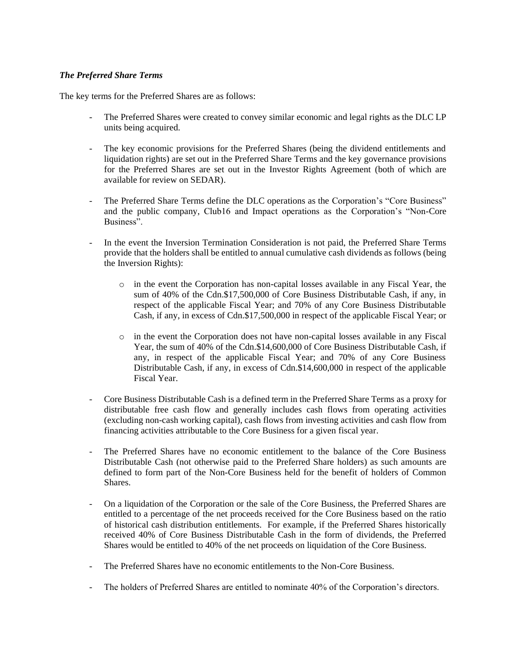## *The Preferred Share Terms*

The key terms for the Preferred Shares are as follows:

- The Preferred Shares were created to convey similar economic and legal rights as the DLC LP units being acquired.
- The key economic provisions for the Preferred Shares (being the dividend entitlements and liquidation rights) are set out in the Preferred Share Terms and the key governance provisions for the Preferred Shares are set out in the Investor Rights Agreement (both of which are available for review on SEDAR).
- The Preferred Share Terms define the DLC operations as the Corporation's "Core Business" and the public company, Club16 and Impact operations as the Corporation's "Non-Core Business".
- In the event the Inversion Termination Consideration is not paid, the Preferred Share Terms provide that the holders shall be entitled to annual cumulative cash dividends as follows (being the Inversion Rights):
	- o in the event the Corporation has non-capital losses available in any Fiscal Year, the sum of 40% of the Cdn.\$17,500,000 of Core Business Distributable Cash, if any, in respect of the applicable Fiscal Year; and 70% of any Core Business Distributable Cash, if any, in excess of Cdn.\$17,500,000 in respect of the applicable Fiscal Year; or
	- o in the event the Corporation does not have non-capital losses available in any Fiscal Year, the sum of 40% of the Cdn.\$14,600,000 of Core Business Distributable Cash, if any, in respect of the applicable Fiscal Year; and 70% of any Core Business Distributable Cash, if any, in excess of Cdn.\$14,600,000 in respect of the applicable Fiscal Year.
- Core Business Distributable Cash is a defined term in the Preferred Share Terms as a proxy for distributable free cash flow and generally includes cash flows from operating activities (excluding non-cash working capital), cash flows from investing activities and cash flow from financing activities attributable to the Core Business for a given fiscal year.
- The Preferred Shares have no economic entitlement to the balance of the Core Business Distributable Cash (not otherwise paid to the Preferred Share holders) as such amounts are defined to form part of the Non-Core Business held for the benefit of holders of Common Shares.
- On a liquidation of the Corporation or the sale of the Core Business, the Preferred Shares are entitled to a percentage of the net proceeds received for the Core Business based on the ratio of historical cash distribution entitlements. For example, if the Preferred Shares historically received 40% of Core Business Distributable Cash in the form of dividends, the Preferred Shares would be entitled to 40% of the net proceeds on liquidation of the Core Business.
- The Preferred Shares have no economic entitlements to the Non-Core Business.
- The holders of Preferred Shares are entitled to nominate 40% of the Corporation's directors.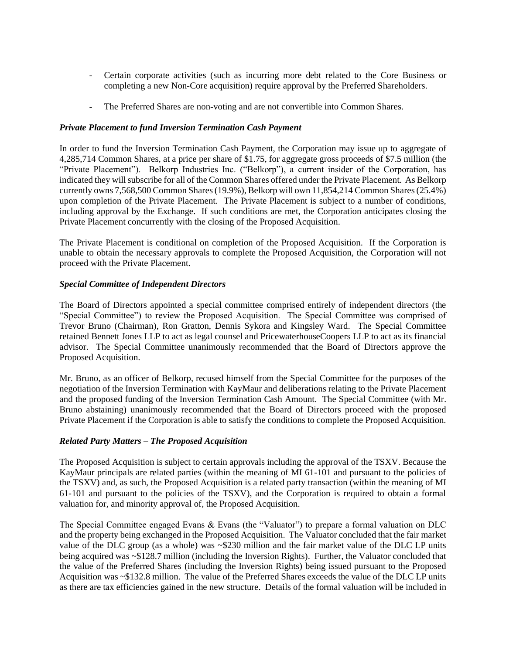- Certain corporate activities (such as incurring more debt related to the Core Business or completing a new Non-Core acquisition) require approval by the Preferred Shareholders.
- The Preferred Shares are non-voting and are not convertible into Common Shares.

### *Private Placement to fund Inversion Termination Cash Payment*

In order to fund the Inversion Termination Cash Payment, the Corporation may issue up to aggregate of 4,285,714 Common Shares, at a price per share of \$1.75, for aggregate gross proceeds of \$7.5 million (the "Private Placement"). Belkorp Industries Inc. ("Belkorp"), a current insider of the Corporation, has indicated they will subscribe for all of the Common Shares offered under the Private Placement. As Belkorp currently owns 7,568,500 Common Shares (19.9%), Belkorp will own 11,854,214 Common Shares (25.4%) upon completion of the Private Placement. The Private Placement is subject to a number of conditions, including approval by the Exchange. If such conditions are met, the Corporation anticipates closing the Private Placement concurrently with the closing of the Proposed Acquisition.

The Private Placement is conditional on completion of the Proposed Acquisition. If the Corporation is unable to obtain the necessary approvals to complete the Proposed Acquisition, the Corporation will not proceed with the Private Placement.

## *Special Committee of Independent Directors*

The Board of Directors appointed a special committee comprised entirely of independent directors (the "Special Committee") to review the Proposed Acquisition. The Special Committee was comprised of Trevor Bruno (Chairman), Ron Gratton, Dennis Sykora and Kingsley Ward. The Special Committee retained Bennett Jones LLP to act as legal counsel and PricewaterhouseCoopers LLP to act as its financial advisor. The Special Committee unanimously recommended that the Board of Directors approve the Proposed Acquisition.

Mr. Bruno, as an officer of Belkorp, recused himself from the Special Committee for the purposes of the negotiation of the Inversion Termination with KayMaur and deliberations relating to the Private Placement and the proposed funding of the Inversion Termination Cash Amount. The Special Committee (with Mr. Bruno abstaining) unanimously recommended that the Board of Directors proceed with the proposed Private Placement if the Corporation is able to satisfy the conditions to complete the Proposed Acquisition.

### *Related Party Matters – The Proposed Acquisition*

The Proposed Acquisition is subject to certain approvals including the approval of the TSXV. Because the KayMaur principals are related parties (within the meaning of MI 61-101 and pursuant to the policies of the TSXV) and, as such, the Proposed Acquisition is a related party transaction (within the meaning of MI 61-101 and pursuant to the policies of the TSXV), and the Corporation is required to obtain a formal valuation for, and minority approval of, the Proposed Acquisition.

The Special Committee engaged Evans & Evans (the "Valuator") to prepare a formal valuation on DLC and the property being exchanged in the Proposed Acquisition. The Valuator concluded that the fair market value of the DLC group (as a whole) was ~\$230 million and the fair market value of the DLC LP units being acquired was ~\$128.7 million (including the Inversion Rights). Further, the Valuator concluded that the value of the Preferred Shares (including the Inversion Rights) being issued pursuant to the Proposed Acquisition was ~\$132.8 million. The value of the Preferred Shares exceeds the value of the DLC LP units as there are tax efficiencies gained in the new structure. Details of the formal valuation will be included in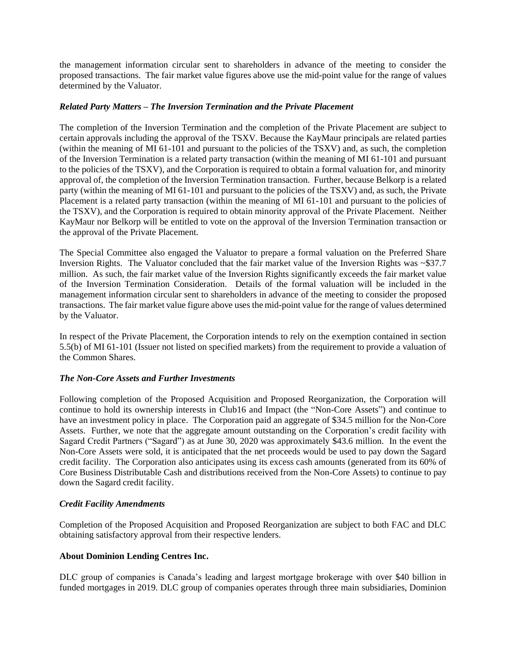the management information circular sent to shareholders in advance of the meeting to consider the proposed transactions. The fair market value figures above use the mid-point value for the range of values determined by the Valuator.

#### *Related Party Matters – The Inversion Termination and the Private Placement*

The completion of the Inversion Termination and the completion of the Private Placement are subject to certain approvals including the approval of the TSXV. Because the KayMaur principals are related parties (within the meaning of MI 61-101 and pursuant to the policies of the TSXV) and, as such, the completion of the Inversion Termination is a related party transaction (within the meaning of MI 61-101 and pursuant to the policies of the TSXV), and the Corporation is required to obtain a formal valuation for, and minority approval of, the completion of the Inversion Termination transaction. Further, because Belkorp is a related party (within the meaning of MI 61-101 and pursuant to the policies of the TSXV) and, as such, the Private Placement is a related party transaction (within the meaning of MI 61-101 and pursuant to the policies of the TSXV), and the Corporation is required to obtain minority approval of the Private Placement. Neither KayMaur nor Belkorp will be entitled to vote on the approval of the Inversion Termination transaction or the approval of the Private Placement.

The Special Committee also engaged the Valuator to prepare a formal valuation on the Preferred Share Inversion Rights. The Valuator concluded that the fair market value of the Inversion Rights was ~\$37.7 million. As such, the fair market value of the Inversion Rights significantly exceeds the fair market value of the Inversion Termination Consideration. Details of the formal valuation will be included in the management information circular sent to shareholders in advance of the meeting to consider the proposed transactions. The fair market value figure above uses the mid-point value for the range of values determined by the Valuator.

In respect of the Private Placement, the Corporation intends to rely on the exemption contained in section 5.5(b) of MI 61-101 (Issuer not listed on specified markets) from the requirement to provide a valuation of the Common Shares.

### *The Non-Core Assets and Further Investments*

Following completion of the Proposed Acquisition and Proposed Reorganization, the Corporation will continue to hold its ownership interests in Club16 and Impact (the "Non-Core Assets") and continue to have an investment policy in place. The Corporation paid an aggregate of \$34.5 million for the Non-Core Assets. Further, we note that the aggregate amount outstanding on the Corporation's credit facility with Sagard Credit Partners ("Sagard") as at June 30, 2020 was approximately \$43.6 million. In the event the Non-Core Assets were sold, it is anticipated that the net proceeds would be used to pay down the Sagard credit facility. The Corporation also anticipates using its excess cash amounts (generated from its 60% of Core Business Distributable Cash and distributions received from the Non-Core Assets) to continue to pay down the Sagard credit facility.

### *Credit Facility Amendments*

Completion of the Proposed Acquisition and Proposed Reorganization are subject to both FAC and DLC obtaining satisfactory approval from their respective lenders.

### **About Dominion Lending Centres Inc.**

DLC group of companies is Canada's leading and largest mortgage brokerage with over \$40 billion in funded mortgages in 2019. DLC group of companies operates through three main subsidiaries, Dominion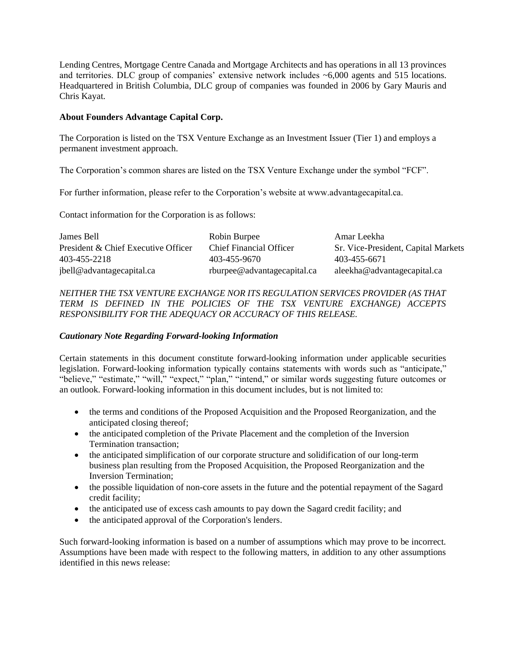Lending Centres, Mortgage Centre Canada and Mortgage Architects and has operations in all 13 provinces and territories. DLC group of companies' extensive network includes ~6,000 agents and 515 locations. Headquartered in British Columbia, DLC group of companies was founded in 2006 by Gary Mauris and Chris Kayat.

### **About Founders Advantage Capital Corp.**

The Corporation is listed on the TSX Venture Exchange as an Investment Issuer (Tier 1) and employs a permanent investment approach.

The Corporation's common shares are listed on the TSX Venture Exchange under the symbol "FCF".

For further information, please refer to the Corporation's website at www.advantagecapital.ca.

Contact information for the Corporation is as follows:

| James Bell                          | Robin Burpee                   | Amar Leekha                         |
|-------------------------------------|--------------------------------|-------------------------------------|
| President & Chief Executive Officer | <b>Chief Financial Officer</b> | Sr. Vice-President, Capital Markets |
| 403-455-2218                        | 403-455-9670                   | 403-455-6671                        |
| jbell@advantagecapital.ca           | rburpee@advantagecapital.ca    | aleekha@advantagecapital.ca         |

# *NEITHER THE TSX VENTURE EXCHANGE NOR ITS REGULATION SERVICES PROVIDER (AS THAT TERM IS DEFINED IN THE POLICIES OF THE TSX VENTURE EXCHANGE) ACCEPTS RESPONSIBILITY FOR THE ADEQUACY OR ACCURACY OF THIS RELEASE.*

# *Cautionary Note Regarding Forward-looking Information*

Certain statements in this document constitute forward-looking information under applicable securities legislation. Forward-looking information typically contains statements with words such as "anticipate," "believe," "estimate," "will," "expect," "plan," "intend," or similar words suggesting future outcomes or an outlook. Forward-looking information in this document includes, but is not limited to:

- the terms and conditions of the Proposed Acquisition and the Proposed Reorganization, and the anticipated closing thereof;
- the anticipated completion of the Private Placement and the completion of the Inversion Termination transaction;
- the anticipated simplification of our corporate structure and solidification of our long-term business plan resulting from the Proposed Acquisition, the Proposed Reorganization and the Inversion Termination;
- the possible liquidation of non-core assets in the future and the potential repayment of the Sagard credit facility;
- the anticipated use of excess cash amounts to pay down the Sagard credit facility; and
- the anticipated approval of the Corporation's lenders.

Such forward-looking information is based on a number of assumptions which may prove to be incorrect. Assumptions have been made with respect to the following matters, in addition to any other assumptions identified in this news release: